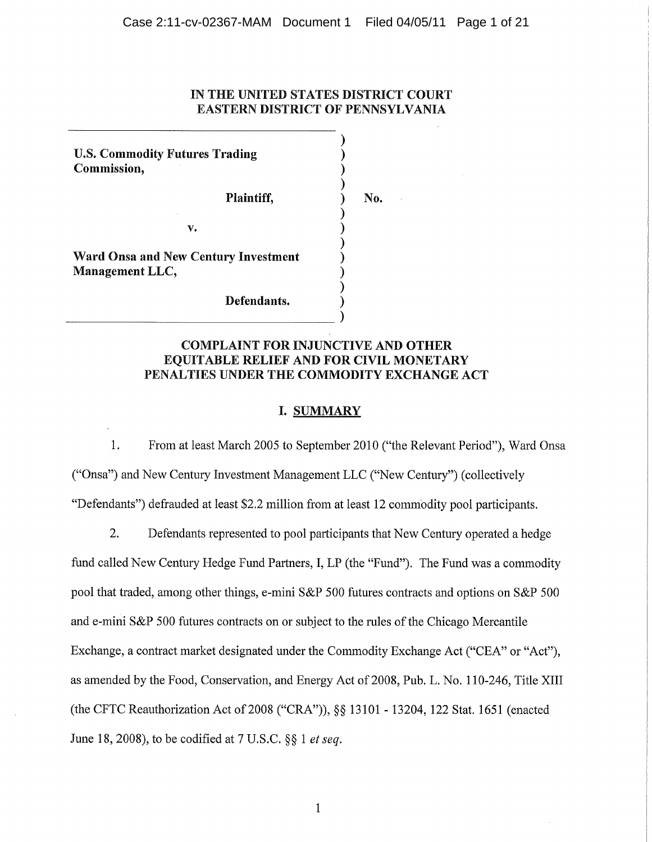# IN THE UNITED STATES DISTRICT COURT **EASTERN DISTRICT OF PENNSYLVANIA**

No.

**U.S. Commodity Futures Trading** Commission,

Plaintiff,

v.

Ward Onsa and New Century Investment Management LLC,

Defendants.

# **COMPLAINT FOR INJUNCTIVE AND OTHER** EQUITABLE RELIEF AND FOR CIVIL MONETARY PENALTIES UNDER THE COMMODITY EXCHANGE ACT

# **I. SUMMARY**

1. From at least March 2005 to September 2010 ("the Relevant Period"), Ward Onsa ("Onsa") and New Century Investment Management LLC ("New Century") (collectively "Defendants") defrauded at least \$2.2 million from at least 12 commodity pool participants.

2. Defendants represented to pool participants that New Century operated a hedge fund called New Century Hedge Fund Partners, I, LP (the "Fund"). The Fund was a commodity pool that traded, among other things, e-mini S&P 500 futures contracts and options on S&P 500 and e-mini S&P 500 futures contracts on or subject to the rules of the Chicago Mercantile Exchange, a contract market designated under the Commodity Exchange Act ("CEA" or "Act"), as amended by the Food, Conservation, and Energy Act of 2008, Pub. L. No. 110-246, Title XIII (the CFTC Reauthorization Act of 2008 ("CRA")), §§ 13101 - 13204, 122 Stat. 1651 (enacted June 18, 2008), to be codified at 7 U.S.C.  $\S$ § 1 *et seq.* 

 $\mathbf{1}$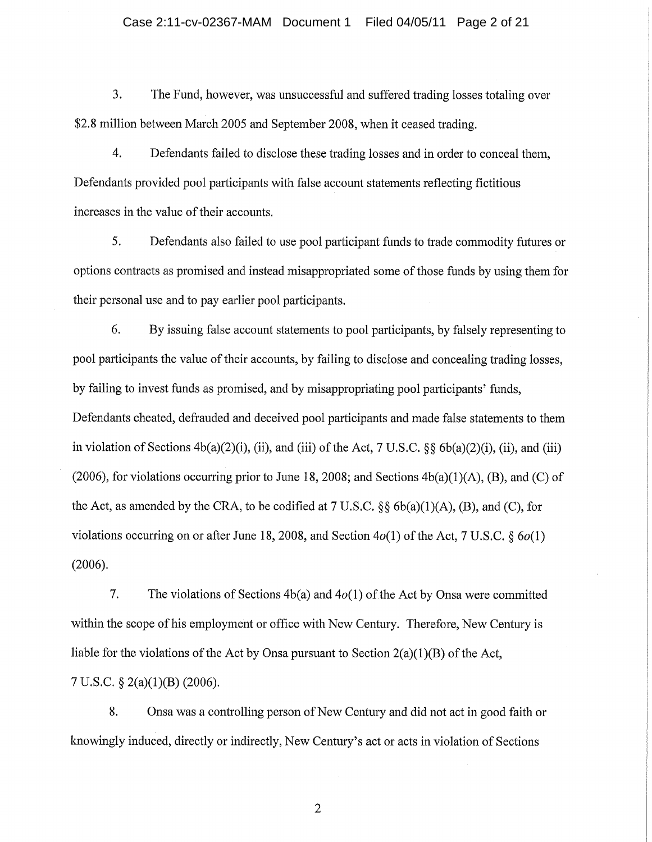## Case 2:11-cv-02367-MAM Document 1 Filed 04/05/11 Page 2 of 21

3. The Fund, however, was unsuccessful and suffered trading losses totaling over \$2.8 million between March 2005 and September 2008, when it ceased trading.

4. Defendants failed to disclose these trading losses and in order to conceal them, Defendants provided pool participants with false account statements reflecting fictitious increases in the value of their accounts.

5. Defendants also failed to use pool participant funds to trade commodity futures or options contracts as promised and instead misappropriated some of those funds by using them for their personal use and to pay earlier pool participants.

6. By issuing false account statements to pool participants, by falsely representing to pool participants the value of their accounts, by failing to disclose and concealing trading losses, by failing to invest funds as promised, and by misappropriating pool participants' funds, Defendants cheated, defrauded and deceived pool participants and made false statements to them in violation of Sections  $4b(a)(2)(i)$ , (ii), and (iii) of the Act, 7 U.S.C. §§  $6b(a)(2)(i)$ , (ii), and (iii) (2006), for violations occurring prior to June 18, 2008; and Sections  $4b(a)(1)(A)$ , (B), and (C) of the Act, as amended by the CRA, to be codified at  $7 \text{ U.S.C.}$  §§  $6b(a)(1)(A)$ , (B), and (C), for violations occurring on or after June 18, 2008, and Section  $4o(1)$  of the Act, 7 U.S.C. §  $6o(1)$  $(2006).$ 

 $7.$ The violations of Sections  $4b(a)$  and  $4o(1)$  of the Act by Onsa were committed within the scope of his employment or office with New Century. Therefore, New Century is liable for the violations of the Act by Onsa pursuant to Section  $2(a)(1)(B)$  of the Act,

7 U.S.C.  $\S$  2(a)(1)(B) (2006).

8. Onsa was a controlling person of New Century and did not act in good faith or knowingly induced, directly or indirectly, New Century's act or acts in violation of Sections

 $\overline{2}$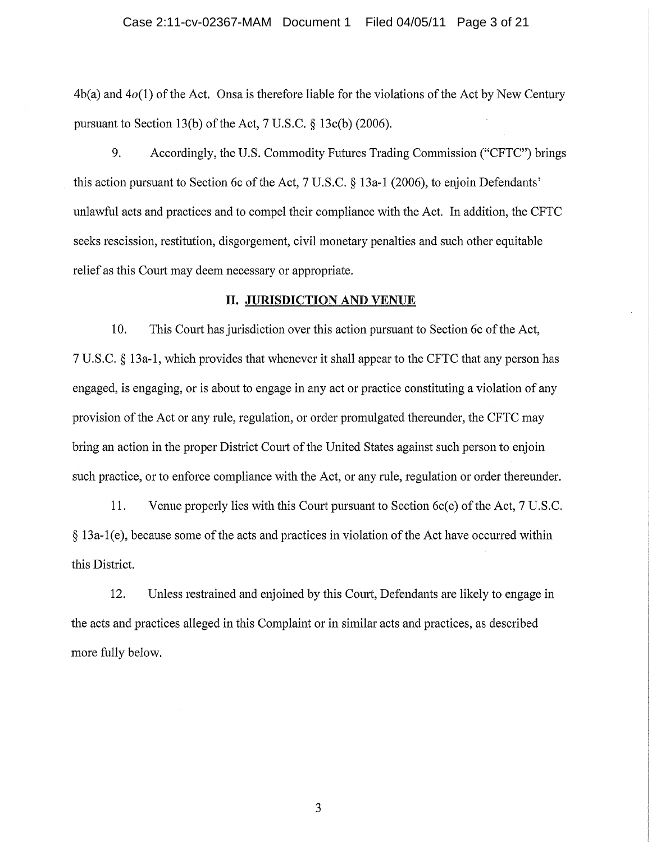$4b(a)$  and  $4o(1)$  of the Act. Onsa is therefore liable for the violations of the Act by New Century pursuant to Section 13(b) of the Act, 7 U.S.C.  $\S$  13c(b) (2006).

9. Accordingly, the U.S. Commodity Futures Trading Commission ("CFTC") brings this action pursuant to Section 6c of the Act, 7 U.S.C. § 13a-1 (2006), to enjoin Defendants' unlawful acts and practices and to compel their compliance with the Act. In addition, the CFTC seeks rescission, restitution, disgorgement, civil monetary penalties and such other equitable relief as this Court may deem necessary or appropriate.

# **II. JURISDICTION AND VENUE**

10. This Court has jurisdiction over this action pursuant to Section 6c of the Act, 7 U.S.C. § 13a-1, which provides that whenever it shall appear to the CFTC that any person has engaged, is engaging, or is about to engage in any act or practice constituting a violation of any provision of the Act or any rule, regulation, or order promulgated thereunder, the CFTC may bring an action in the proper District Court of the United States against such person to enjoin such practice, or to enforce compliance with the Act, or any rule, regulation or order thereunder.

11. Venue properly lies with this Court pursuant to Section 6c(e) of the Act, 7 U.S.C. § 13a-1(e), because some of the acts and practices in violation of the Act have occurred within this District.

12. Unless restrained and enjoined by this Court, Defendants are likely to engage in the acts and practices alleged in this Complaint or in similar acts and practices, as described more fully below.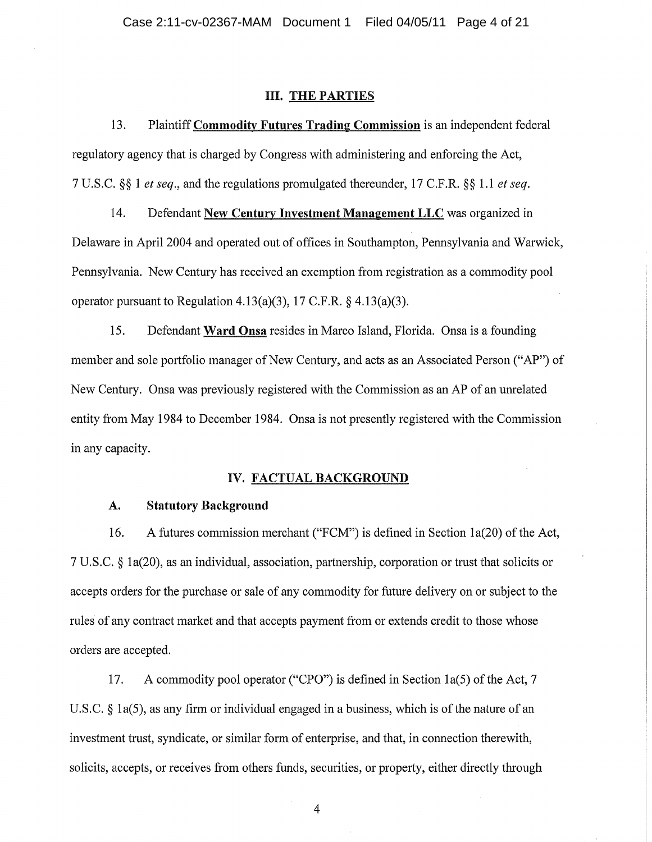# **III. THE PARTIES**

13. Plaintiff Commodity Futures Trading Commission is an independent federal regulatory agency that is charged by Congress with administering and enforcing the Act, 7 U.S.C. §§ 1 et seq., and the regulations promulgated thereunder, 17 C.F.R. §§ 1.1 et seq.

14. Defendant New Century Investment Management LLC was organized in Delaware in April 2004 and operated out of offices in Southampton, Pennsylvania and Warwick, Pennsylvania. New Century has received an exemption from registration as a commodity pool operator pursuant to Regulation 4.13(a)(3), 17 C.F.R.  $\S$  4.13(a)(3).

15. Defendant Ward Onsa resides in Marco Island, Florida. Onsa is a founding member and sole portfolio manager of New Century, and acts as an Associated Person ("AP") of New Century. Onsa was previously registered with the Commission as an AP of an unrelated entity from May 1984 to December 1984. Onsa is not presently registered with the Commission in any capacity.

# IV. FACTUAL BACKGROUND

#### A. **Statutory Background**

A futures commission merchant ("FCM") is defined in Section 1a(20) of the Act, 16. 7 U.S.C. § 1a(20), as an individual, association, partnership, corporation or trust that solicits or accepts orders for the purchase or sale of any commodity for future delivery on or subject to the rules of any contract market and that accepts payment from or extends credit to those whose orders are accepted.

17. A commodity pool operator ("CPO") is defined in Section 1a(5) of the Act, 7 U.S.C.  $\S$  1a(5), as any firm or individual engaged in a business, which is of the nature of an investment trust, syndicate, or similar form of enterprise, and that, in connection therewith, solicits, accepts, or receives from others funds, securities, or property, either directly through

 $\overline{4}$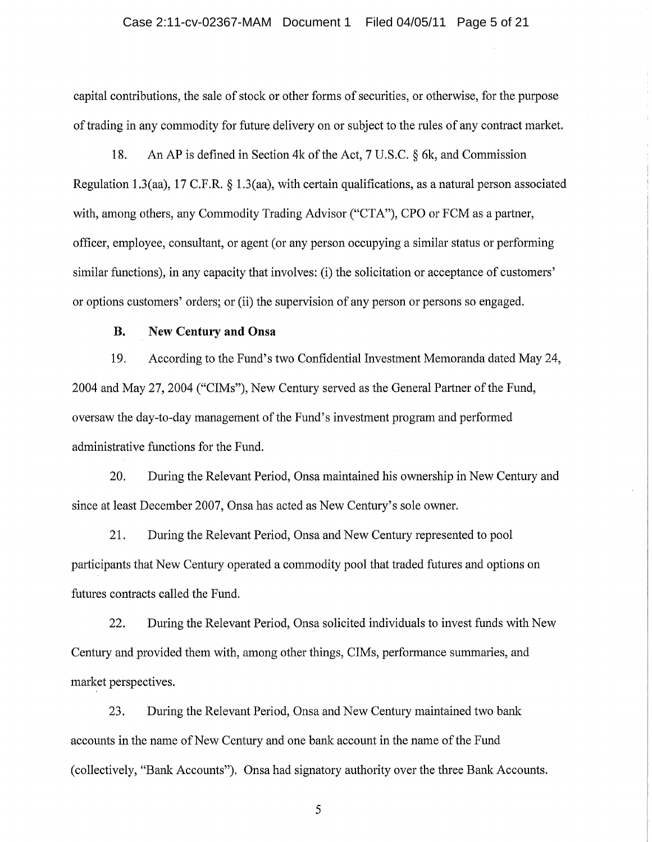## Case 2:11-cv-02367-MAM Document 1 Filed 04/05/11 Page 5 of 21

capital contributions, the sale of stock or other forms of securities, or otherwise, for the purpose of trading in any commodity for future delivery on or subject to the rules of any contract market.

18. An AP is defined in Section 4k of the Act, 7 U.S.C. § 6k, and Commission Regulation 1.3(aa), 17 C.F.R.  $\S$  1.3(aa), with certain qualifications, as a natural person associated with, among others, any Commodity Trading Advisor ("CTA"), CPO or FCM as a partner, officer, employee, consultant, or agent (or any person occupying a similar status or performing similar functions), in any capacity that involves: (i) the solicitation or acceptance of customers' or options customers' orders; or (ii) the supervision of any person or persons so engaged.

#### **B. New Century and Onsa**

19. According to the Fund's two Confidential Investment Memoranda dated May 24, 2004 and May 27, 2004 ("CIMs"), New Century served as the General Partner of the Fund, oversaw the day-to-day management of the Fund's investment program and performed administrative functions for the Fund.

20. During the Relevant Period, Onsa maintained his ownership in New Century and since at least December 2007, Onsa has acted as New Century's sole owner.

21. During the Relevant Period, Onsa and New Century represented to pool participants that New Century operated a commodity pool that traded futures and options on futures contracts called the Fund.

22. During the Relevant Period, Onsa solicited individuals to invest funds with New Century and provided them with, among other things, CIMs, performance summaries, and market perspectives.

23. During the Relevant Period, Onsa and New Century maintained two bank accounts in the name of New Century and one bank account in the name of the Fund (collectively, "Bank Accounts"). Onsa had signatory authority over the three Bank Accounts.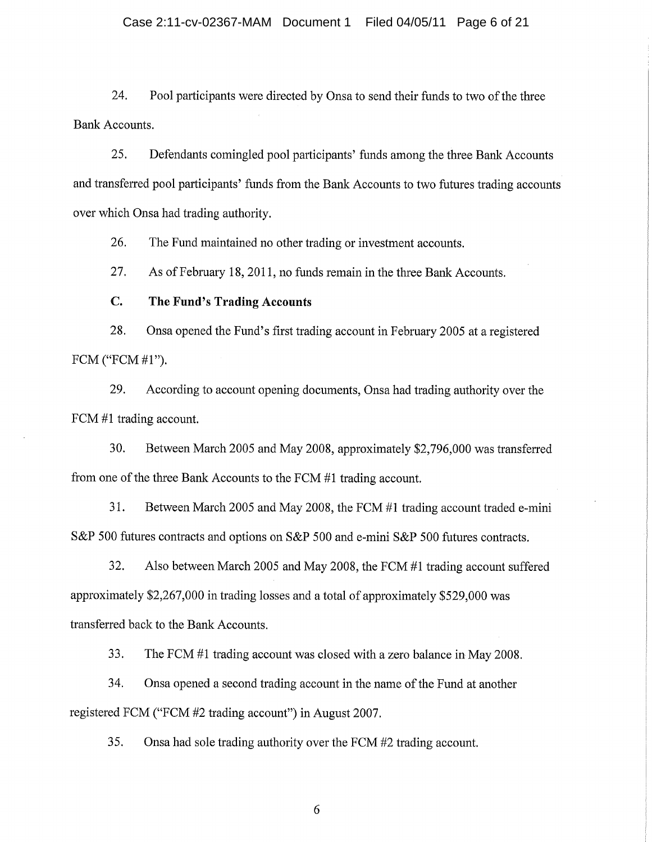# Case 2:11-cv-02367-MAM Document 1 Filed 04/05/11 Page 6 of 21

24. Pool participants were directed by Onsa to send their funds to two of the three **Bank Accounts.** 

25. Defendants comingled pool participants' funds among the three Bank Accounts and transferred pool participants' funds from the Bank Accounts to two futures trading accounts over which Onsa had trading authority.

26. The Fund maintained no other trading or investment accounts.

27. As of February 18, 2011, no funds remain in the three Bank Accounts.

#### $C_{\cdot}$ The Fund's Trading Accounts

28. Onsa opened the Fund's first trading account in February 2005 at a registered FCM ("FCM #1").

29. According to account opening documents, Onsa had trading authority over the FCM #1 trading account.

30. Between March 2005 and May 2008, approximately \$2,796,000 was transferred from one of the three Bank Accounts to the FCM #1 trading account.

31. Between March 2005 and May 2008, the FCM #1 trading account traded e-mini S&P 500 futures contracts and options on S&P 500 and e-mini S&P 500 futures contracts.

 $32.$ Also between March 2005 and May 2008, the FCM #1 trading account suffered approximately \$2,267,000 in trading losses and a total of approximately \$529,000 was transferred back to the Bank Accounts.

33. The FCM #1 trading account was closed with a zero balance in May 2008.

34. Onsa opened a second trading account in the name of the Fund at another registered FCM ("FCM #2 trading account") in August 2007.

35. Onsa had sole trading authority over the FCM #2 trading account.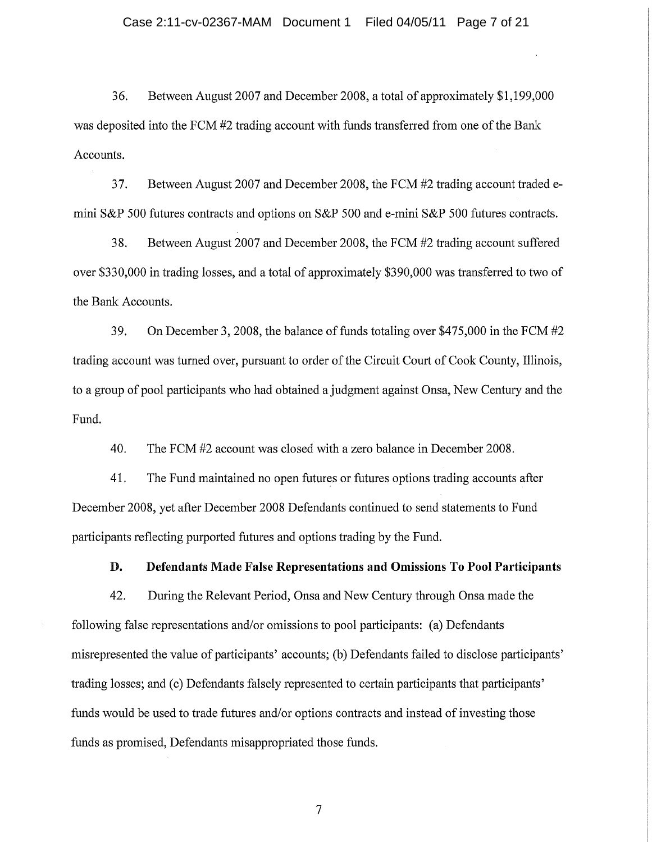36. Between August 2007 and December 2008, a total of approximately \$1,199,000 was deposited into the FCM #2 trading account with funds transferred from one of the Bank Accounts.

37. Between August 2007 and December 2008, the FCM #2 trading account traded emini S&P 500 futures contracts and options on S&P 500 and e-mini S&P 500 futures contracts.

38. Between August 2007 and December 2008, the FCM #2 trading account suffered over \$330,000 in trading losses, and a total of approximately \$390,000 was transferred to two of the Bank Accounts.

39. On December 3, 2008, the balance of funds totaling over \$475,000 in the FCM #2 trading account was turned over, pursuant to order of the Circuit Court of Cook County, Illinois, to a group of pool participants who had obtained a judgment against Onsa, New Century and the Fund.

40. The FCM #2 account was closed with a zero balance in December 2008.

41. The Fund maintained no open futures or futures options trading accounts after December 2008, yet after December 2008 Defendants continued to send statements to Fund participants reflecting purported futures and options trading by the Fund.

D. Defendants Made False Representations and Omissions To Pool Participants

42. During the Relevant Period, Onsa and New Century through Onsa made the following false representations and/or omissions to pool participants: (a) Defendants misrepresented the value of participants' accounts; (b) Defendants failed to disclose participants' trading losses; and (c) Defendants falsely represented to certain participants that participants' funds would be used to trade futures and/or options contracts and instead of investing those funds as promised, Defendants misappropriated those funds.

 $\overline{7}$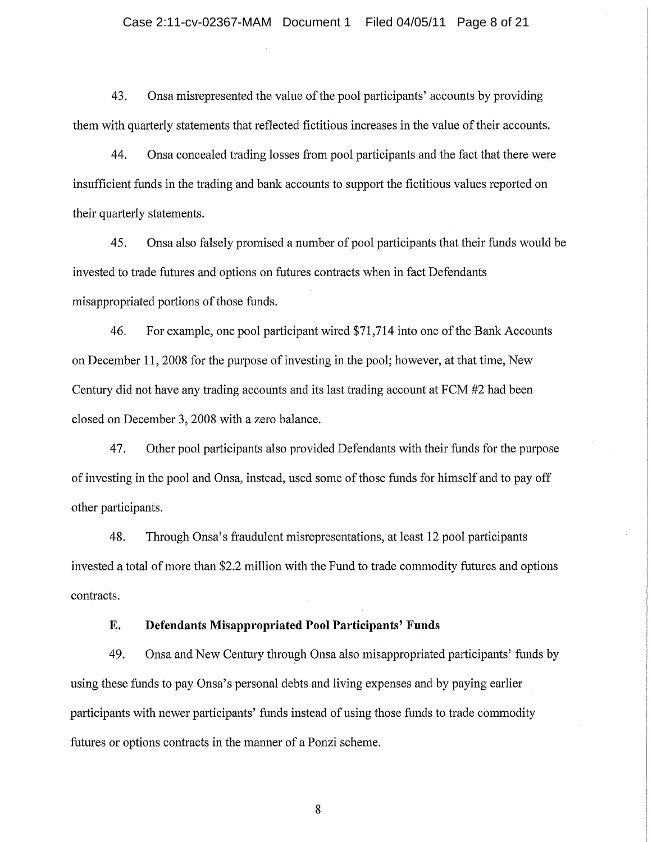## Case 2:11-cv-02367-MAM Document 1 Filed 04/05/11 Page 8 of 21

43. Onsa misrepresented the value of the pool participants' accounts by providing them with quarterly statements that reflected fictitious increases in the value of their accounts.

44. Onsa concealed trading losses from pool participants and the fact that there were insufficient funds in the trading and bank accounts to support the fictitious values reported on their quarterly statements.

45. Onsa also falsely promised a number of pool participants that their funds would be invested to trade futures and options on futures contracts when in fact Defendants misappropriated portions of those funds.

46. For example, one pool participant wired \$71,714 into one of the Bank Accounts on December 11, 2008 for the purpose of investing in the pool; however, at that time, New Century did not have any trading accounts and its last trading account at FCM #2 had been closed on December 3, 2008 with a zero balance.

47. Other pool participants also provided Defendants with their funds for the purpose of investing in the pool and Onsa, instead, used some of those funds for himself and to pay off other participants.

48. Through Onsa's fraudulent misrepresentations, at least 12 pool participants invested a total of more than \$2.2 million with the Fund to trade commodity futures and options contracts.

#### **Defendants Misappropriated Pool Participants' Funds** E.

49. Onsa and New Century through Onsa also misappropriated participants' funds by using these funds to pay Onsa's personal debts and living expenses and by paying earlier participants with newer participants' funds instead of using those funds to trade commodity futures or options contracts in the manner of a Ponzi scheme.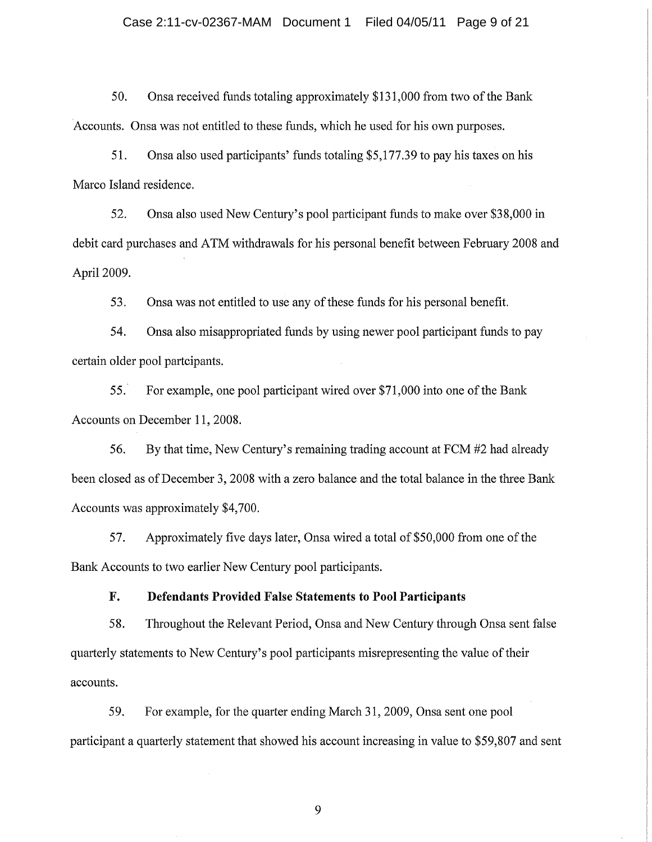# Case 2:11-cv-02367-MAM Document 1 Filed 04/05/11 Page 9 of 21

50. Onsa received funds totaling approximately \$131,000 from two of the Bank Accounts. Onsa was not entitled to these funds, which he used for his own purposes.

51. Onsa also used participants' funds totaling \$5,177.39 to pay his taxes on his Marco Island residence.

52. Onsa also used New Century's pool participant funds to make over \$38,000 in debit card purchases and ATM withdrawals for his personal benefit between February 2008 and April 2009.

53. Onsa was not entitled to use any of these funds for his personal benefit.

54. Onsa also misappropriated funds by using newer pool participant funds to pay certain older pool partcipants.

55. For example, one pool participant wired over \$71,000 into one of the Bank Accounts on December 11, 2008.

56. By that time, New Century's remaining trading account at FCM #2 had already been closed as of December 3, 2008 with a zero balance and the total balance in the three Bank Accounts was approximately \$4,700.

Approximately five days later, Onsa wired a total of \$50,000 from one of the 57. Bank Accounts to two earlier New Century pool participants.

#### F. **Defendants Provided False Statements to Pool Participants**

58. Throughout the Relevant Period, Onsa and New Century through Onsa sent false quarterly statements to New Century's pool participants misrepresenting the value of their accounts.

For example, for the quarter ending March 31, 2009, Onsa sent one pool 59. participant a quarterly statement that showed his account increasing in value to \$59,807 and sent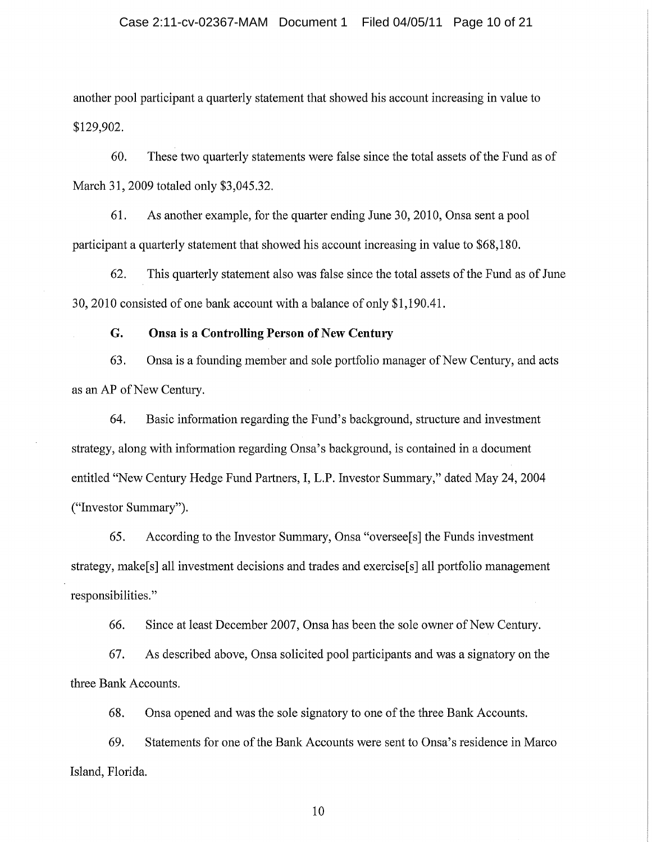### Case 2:11-cv-02367-MAM Document 1 Filed 04/05/11 Page 10 of 21

another pool participant a quarterly statement that showed his account increasing in value to \$129,902.

60. These two quarterly statements were false since the total assets of the Fund as of March 31, 2009 totaled only \$3,045.32.

61. As another example, for the quarter ending June 30, 2010, Onsa sent a pool participant a quarterly statement that showed his account increasing in value to \$68,180.

62. This quarterly statement also was false since the total assets of the Fund as of June 30, 2010 consisted of one bank account with a balance of only \$1,190.41.

#### G. Onsa is a Controlling Person of New Century

Onsa is a founding member and sole portfolio manager of New Century, and acts 63. as an AP of New Century.

64. Basic information regarding the Fund's background, structure and investment strategy, along with information regarding Onsa's background, is contained in a document entitled "New Century Hedge Fund Partners, I, L.P. Investor Summary," dated May 24, 2004 ("Investor Summary").

65. According to the Investor Summary, Onsa "oversee<sup>[s]</sup> the Funds investment strategy, make<sup>[s]</sup> all investment decisions and trades and exercise<sup>[s]</sup> all portfolio management responsibilities."

66. Since at least December 2007, Onsa has been the sole owner of New Century.

As described above, Onsa solicited pool participants and was a signatory on the 67. three Bank Accounts.

68. Onsa opened and was the sole signatory to one of the three Bank Accounts.

69. Statements for one of the Bank Accounts were sent to Onsa's residence in Marco Island, Florida.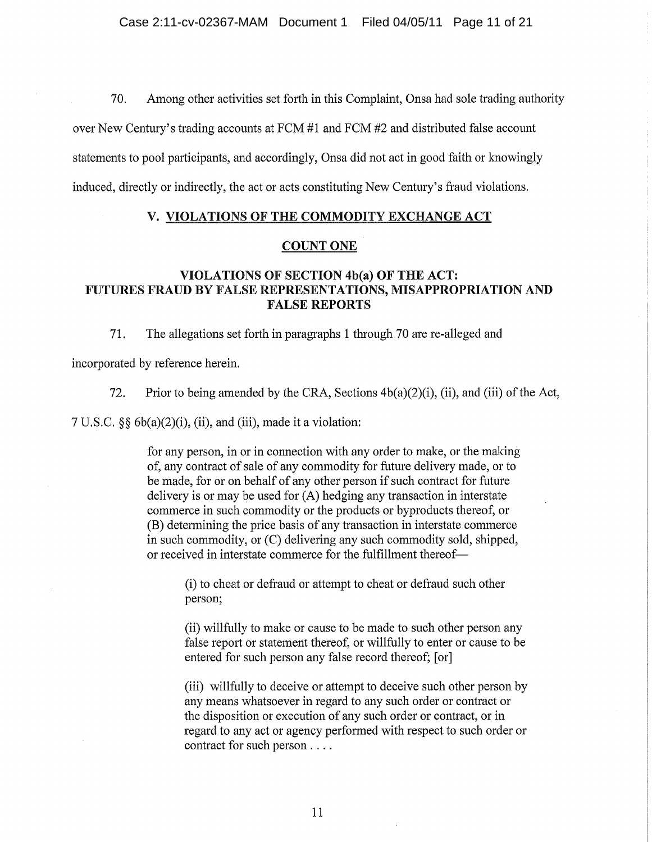70. Among other activities set forth in this Complaint, Onsa had sole trading authority

over New Century's trading accounts at FCM #1 and FCM #2 and distributed false account

statements to pool participants, and accordingly, Onsa did not act in good faith or knowingly

induced, directly or indirectly, the act or acts constituting New Century's fraud violations.

# V. VIOLATIONS OF THE COMMODITY EXCHANGE ACT

# **COUNT ONE**

# VIOLATIONS OF SECTION 4b(a) OF THE ACT: FUTURES FRAUD BY FALSE REPRESENTATIONS, MISAPPROPRIATION AND **FALSE REPORTS**

71. The allegations set forth in paragraphs 1 through 70 are re-alleged and

incorporated by reference herein.

72. Prior to being amended by the CRA, Sections  $4b(a)(2)(i)$ , (ii), and (iii) of the Act,

 $7 U.S.C.$  §§  $6b(a)(2)(i)$ , (ii), and (iii), made it a violation:

for any person, in or in connection with any order to make, or the making of, any contract of sale of any commodity for future delivery made, or to be made, for or on behalf of any other person if such contract for future delivery is or may be used for (A) hedging any transaction in interstate commerce in such commodity or the products or byproducts thereof, or (B) determining the price basis of any transaction in interstate commerce in such commodity, or (C) delivering any such commodity sold, shipped, or received in interstate commerce for the fulfillment thereof-

> (i) to cheat or defraud or attempt to cheat or defraud such other person;

(ii) willfully to make or cause to be made to such other person any false report or statement thereof, or willfully to enter or cause to be entered for such person any false record thereof; [or]

(iii) willfully to deceive or attempt to deceive such other person by any means whatsoever in regard to any such order or contract or the disposition or execution of any such order or contract, or in regard to any act or agency performed with respect to such order or contract for such person....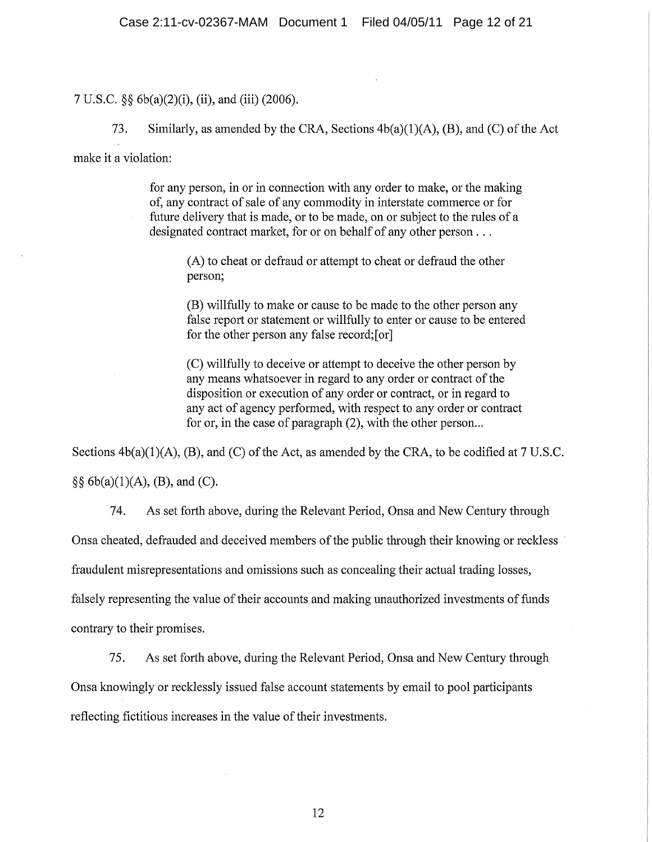# 7 U.S.C. §§ 6b(a)(2)(i), (ii), and (iii) (2006).

73. Similarly, as amended by the CRA, Sections  $4b(a)(1)(A)$ , (B), and (C) of the Act

make it a violation:

for any person, in or in connection with any order to make, or the making of, any contract of sale of any commodity in interstate commerce or for future delivery that is made, or to be made, on or subject to the rules of a designated contract market, for or on behalf of any other person . . .

(A) to cheat or defraud or attempt to cheat or defraud the other person;

(B) willfully to make or cause to be made to the other person any false report or statement or willfully to enter or cause to be entered for the other person any false record; [or]

(C) willfully to deceive or attempt to deceive the other person by any means whatsoever in regard to any order or contract of the disposition or execution of any order or contract, or in regard to any act of agency performed, with respect to any order or contract for or, in the case of paragraph (2), with the other person...

Sections  $4b(a)(1)(A)$ , (B), and (C) of the Act, as amended by the CRA, to be codified at 7 U.S.C.  $\S\S 6b(a)(1)(A), (B), and (C).$ 

As set forth above, during the Relevant Period, Onsa and New Century through 74.

Onsa cheated, defrauded and deceived members of the public through their knowing or reckless

fraudulent misrepresentations and omissions such as concealing their actual trading losses,

falsely representing the value of their accounts and making unauthorized investments of funds

contrary to their promises.

75. As set forth above, during the Relevant Period, Onsa and New Century through Onsa knowingly or recklessly issued false account statements by email to pool participants reflecting fictitious increases in the value of their investments.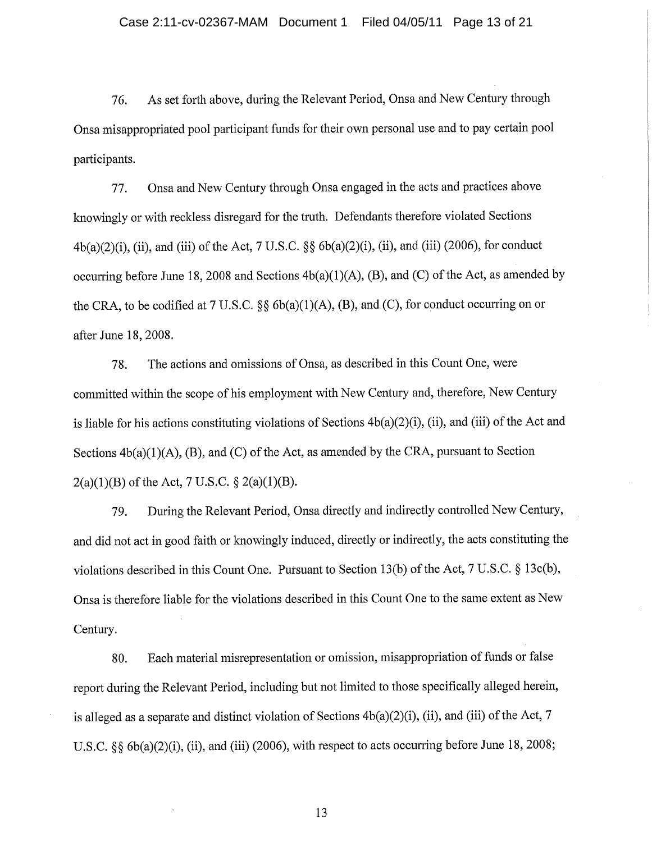76. As set forth above, during the Relevant Period, Onsa and New Century through Onsa misappropriated pool participant funds for their own personal use and to pay certain pool participants.

Onsa and New Century through Onsa engaged in the acts and practices above 77. knowingly or with reckless disregard for the truth. Defendants therefore violated Sections  $4b(a)(2)(i)$ , (ii), and (iii) of the Act, 7 U.S.C. §§  $6b(a)(2)(i)$ , (ii), and (iii) (2006), for conduct occurring before June 18, 2008 and Sections  $4b(a)(1)(A)$ , (B), and (C) of the Act, as amended by the CRA, to be codified at 7 U.S.C. §§  $6b(a)(1)(A)$ , (B), and (C), for conduct occurring on or after June 18, 2008.

78. The actions and omissions of Onsa, as described in this Count One, were committed within the scope of his employment with New Century and, therefore, New Century is liable for his actions constituting violations of Sections 4b(a)(2)(i), (ii), and (iii) of the Act and Sections  $4b(a)(1)(A)$ , (B), and (C) of the Act, as amended by the CRA, pursuant to Section  $2(a)(1)(B)$  of the Act, 7 U.S.C. §  $2(a)(1)(B)$ .

During the Relevant Period, Onsa directly and indirectly controlled New Century, 79. and did not act in good faith or knowingly induced, directly or indirectly, the acts constituting the violations described in this Count One. Pursuant to Section 13(b) of the Act, 7 U.S.C. § 13c(b), Onsa is therefore liable for the violations described in this Count One to the same extent as New Century.

Each material misrepresentation or omission, misappropriation of funds or false 80. report during the Relevant Period, including but not limited to those specifically alleged herein, is alleged as a separate and distinct violation of Sections  $4b(a)(2)(i)$ , (ii), and (iii) of the Act, 7 U.S.C.  $\&$  6b(a)(2)(i), (ii), and (iii) (2006), with respect to acts occurring before June 18, 2008;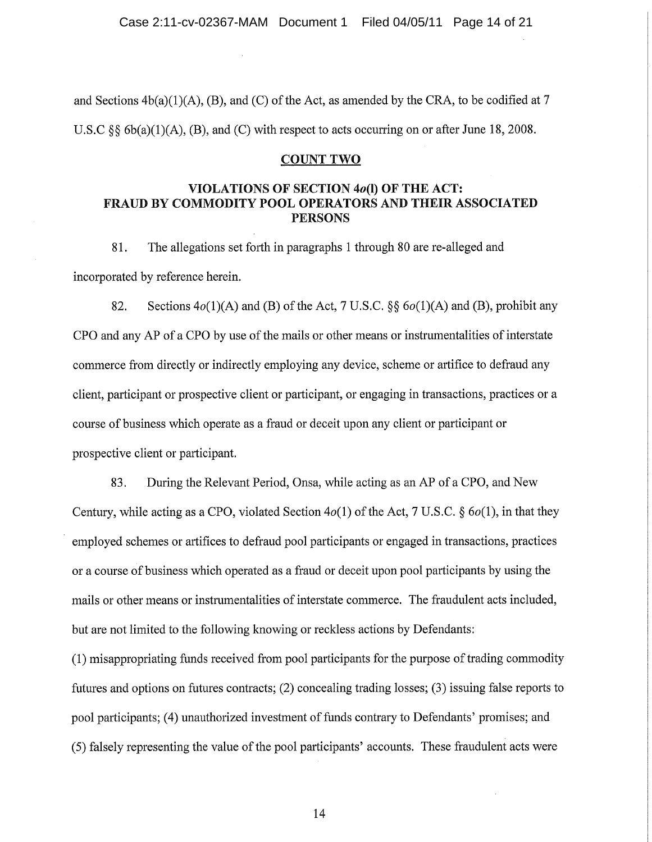and Sections  $4b(a)(1)(A)$ , (B), and (C) of the Act, as amended by the CRA, to be codified at 7 U.S.C  $\S$ §  $6b(a)(1)(A)$ , (B), and (C) with respect to acts occurring on or after June 18, 2008.

# **COUNT TWO**

# VIOLATIONS OF SECTION 40(I) OF THE ACT: FRAUD BY COMMODITY POOL OPERATORS AND THEIR ASSOCIATED **PERSONS**

The allegations set forth in paragraphs 1 through 80 are re-alleged and 81. incorporated by reference herein.

82. Sections  $4o(1)(A)$  and (B) of the Act, 7 U.S.C. §  $6o(1)(A)$  and (B), prohibit any CPO and any AP of a CPO by use of the mails or other means or instrumentalities of interstate commerce from directly or indirectly employing any device, scheme or artifice to defraud any client, participant or prospective client or participant, or engaging in transactions, practices or a course of business which operate as a fraud or deceit upon any client or participant or prospective client or participant.

83. During the Relevant Period, Onsa, while acting as an AP of a CPO, and New Century, while acting as a CPO, violated Section  $4o(1)$  of the Act, 7 U.S.C. §  $6o(1)$ , in that they employed schemes or artifices to defraud pool participants or engaged in transactions, practices or a course of business which operated as a fraud or deceit upon pool participants by using the mails or other means or instrumentalities of interstate commerce. The fraudulent acts included, but are not limited to the following knowing or reckless actions by Defendants:

(1) misappropriating funds received from pool participants for the purpose of trading commodity futures and options on futures contracts; (2) concealing trading losses; (3) issuing false reports to pool participants; (4) unauthorized investment of funds contrary to Defendants' promises; and (5) falsely representing the value of the pool participants' accounts. These fraudulent acts were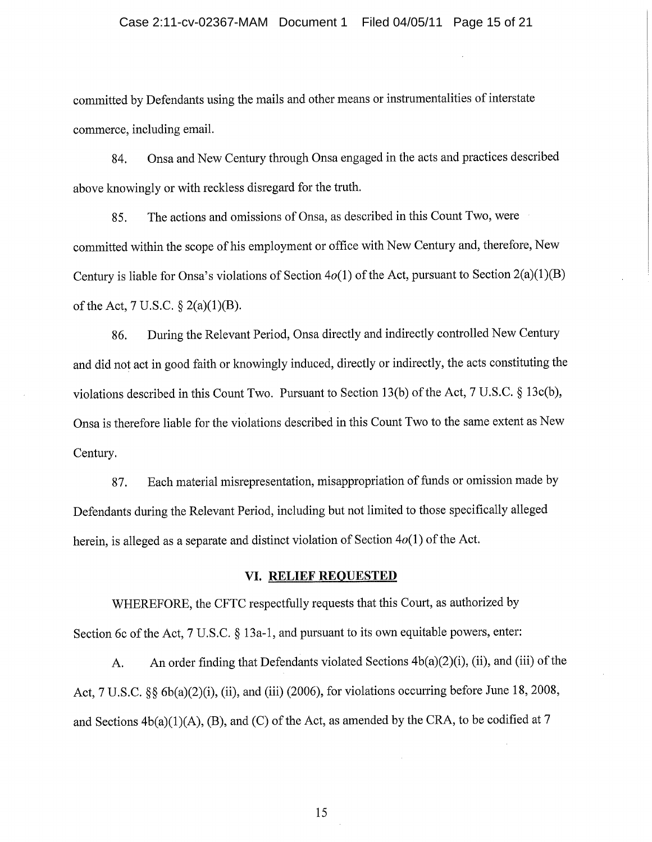### Case 2:11-cv-02367-MAM Document 1 Filed 04/05/11 Page 15 of 21

committed by Defendants using the mails and other means or instrumentalities of interstate commerce, including email.

Onsa and New Century through Onsa engaged in the acts and practices described 84. above knowingly or with reckless disregard for the truth.

The actions and omissions of Onsa, as described in this Count Two, were 85. committed within the scope of his employment or office with New Century and, therefore, New Century is liable for Onsa's violations of Section  $4o(1)$  of the Act, pursuant to Section 2(a)(1)(B) of the Act, 7 U.S.C.  $\S 2(a)(1)(B)$ .

During the Relevant Period, Onsa directly and indirectly controlled New Century 86. and did not act in good faith or knowingly induced, directly or indirectly, the acts constituting the violations described in this Count Two. Pursuant to Section 13(b) of the Act, 7 U.S.C. § 13c(b), Onsa is therefore liable for the violations described in this Count Two to the same extent as New Century.

Each material misrepresentation, misappropriation of funds or omission made by 87. Defendants during the Relevant Period, including but not limited to those specifically alleged herein, is alleged as a separate and distinct violation of Section  $4o(1)$  of the Act.

# VI. RELIEF REQUESTED

WHEREFORE, the CFTC respectfully requests that this Court, as authorized by Section 6c of the Act,  $7 \text{ U.S.C. }$  § 13a-1, and pursuant to its own equitable powers, enter:

An order finding that Defendants violated Sections 4b(a)(2)(i), (ii), and (iii) of the  $A.$ Act, 7 U.S.C. §§ 6b(a)(2)(i), (ii), and (iii) (2006), for violations occurring before June 18, 2008, and Sections  $4b(a)(1)(A)$ , (B), and (C) of the Act, as amended by the CRA, to be codified at 7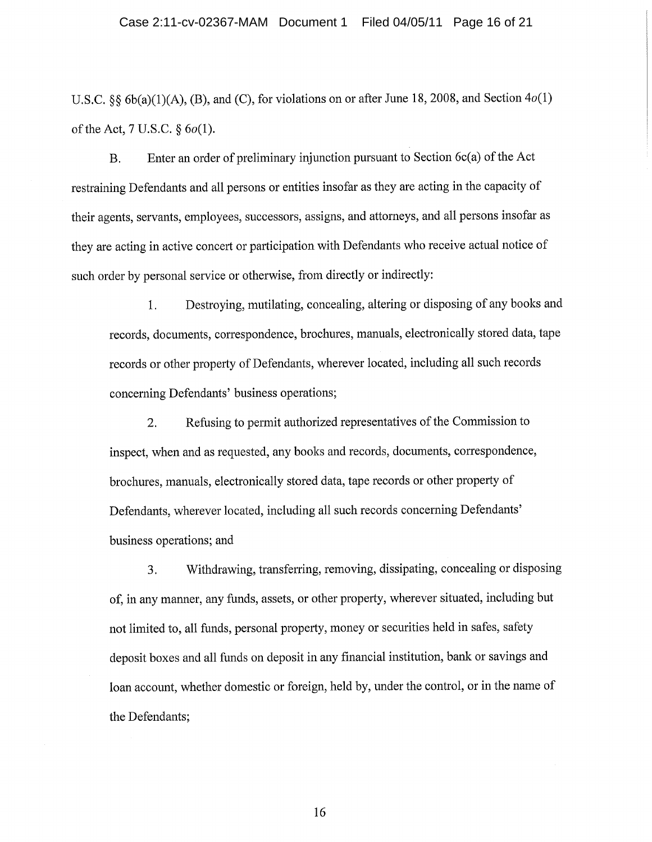### Case 2:11-cv-02367-MAM Document 1 Filed 04/05/11 Page 16 of 21

U.S.C. §§ 6b(a)(1)(A), (B), and (C), for violations on or after June 18, 2008, and Section  $4o(1)$ of the Act, 7 U.S.C.  $\S 6o(1)$ .

Enter an order of preliminary injunction pursuant to Section  $6c(a)$  of the Act **B.** restraining Defendants and all persons or entities insofar as they are acting in the capacity of their agents, servants, employees, successors, assigns, and attorneys, and all persons insofar as they are acting in active concert or participation with Defendants who receive actual notice of such order by personal service or otherwise, from directly or indirectly:

Destroying, mutilating, concealing, altering or disposing of any books and 1. records, documents, correspondence, brochures, manuals, electronically stored data, tape records or other property of Defendants, wherever located, including all such records concerning Defendants' business operations;

Refusing to permit authorized representatives of the Commission to 2. inspect, when and as requested, any books and records, documents, correspondence, brochures, manuals, electronically stored data, tape records or other property of Defendants, wherever located, including all such records concerning Defendants' business operations; and

Withdrawing, transferring, removing, dissipating, concealing or disposing 3. of, in any manner, any funds, assets, or other property, wherever situated, including but not limited to, all funds, personal property, money or securities held in safes, safety deposit boxes and all funds on deposit in any financial institution, bank or savings and loan account, whether domestic or foreign, held by, under the control, or in the name of the Defendants;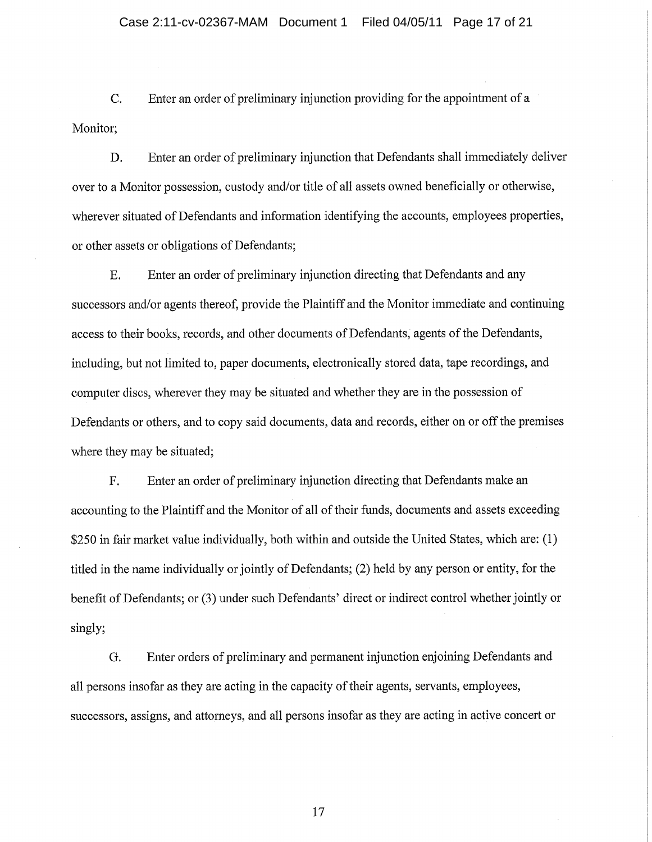C. Enter an order of preliminary injunction providing for the appointment of a Monitor;

Enter an order of preliminary injunction that Defendants shall immediately deliver D. over to a Monitor possession, custody and/or title of all assets owned beneficially or otherwise, wherever situated of Defendants and information identifying the accounts, employees properties, or other assets or obligations of Defendants;

E. Enter an order of preliminary injunction directing that Defendants and any successors and/or agents thereof, provide the Plaintiff and the Monitor immediate and continuing access to their books, records, and other documents of Defendants, agents of the Defendants, including, but not limited to, paper documents, electronically stored data, tape recordings, and computer discs, wherever they may be situated and whether they are in the possession of Defendants or others, and to copy said documents, data and records, either on or off the premises where they may be situated;

Enter an order of preliminary injunction directing that Defendants make an  $F<sub>1</sub>$ accounting to the Plaintiff and the Monitor of all of their funds, documents and assets exceeding \$250 in fair market value individually, both within and outside the United States, which are: (1) titled in the name individually or jointly of Defendants; (2) held by any person or entity, for the benefit of Defendants; or (3) under such Defendants' direct or indirect control whether jointly or singly;

Enter orders of preliminary and permanent injunction enjoining Defendants and G. all persons insofar as they are acting in the capacity of their agents, servants, employees, successors, assigns, and attorneys, and all persons insofar as they are acting in active concert or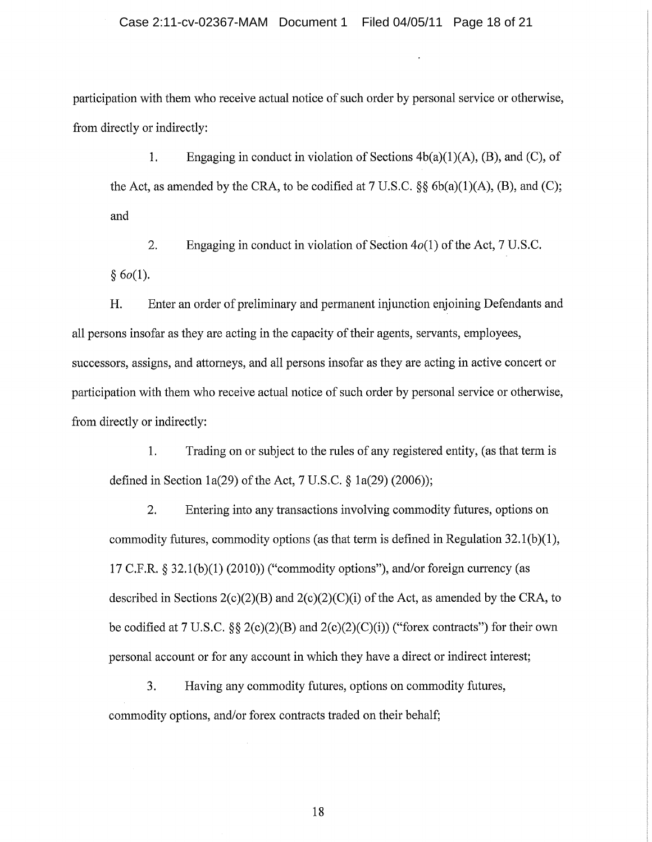participation with them who receive actual notice of such order by personal service or otherwise, from directly or indirectly:

1. Engaging in conduct in violation of Sections  $4b(a)(1)(A)$ , (B), and (C), of the Act, as amended by the CRA, to be codified at  $7 U.S.C.$   $\S\S 6b(a)(1)(A)$ , (B), and (C); and

 $\overline{2}$ . Engaging in conduct in violation of Section  $4o(1)$  of the Act, 7 U.S.C.  $§ 6o(1).$ 

H. Enter an order of preliminary and permanent injunction enjoining Defendants and all persons insofar as they are acting in the capacity of their agents, servants, employees, successors, assigns, and attorneys, and all persons insofar as they are acting in active concert or participation with them who receive actual notice of such order by personal service or otherwise, from directly or indirectly:

1. Trading on or subject to the rules of any registered entity, (as that term is defined in Section 1a(29) of the Act, 7 U.S.C.  $\S$  1a(29) (2006));

 $2.$ Entering into any transactions involving commodity futures, options on commodity futures, commodity options (as that term is defined in Regulation  $32.1(b)(1)$ , 17 C.F.R. § 32.1(b)(1) (2010)) ("commodity options"), and/or foreign currency (as described in Sections  $2(c)(2)(B)$  and  $2(c)(2)(C)(i)$  of the Act, as amended by the CRA, to be codified at 7 U.S.C.  $\S$   $\S$   $2(c)(2)(B)$  and  $2(c)(2)(C)(i)$  ("forex contracts") for their own personal account or for any account in which they have a direct or indirect interest;

3. Having any commodity futures, options on commodity futures, commodity options, and/or forex contracts traded on their behalf;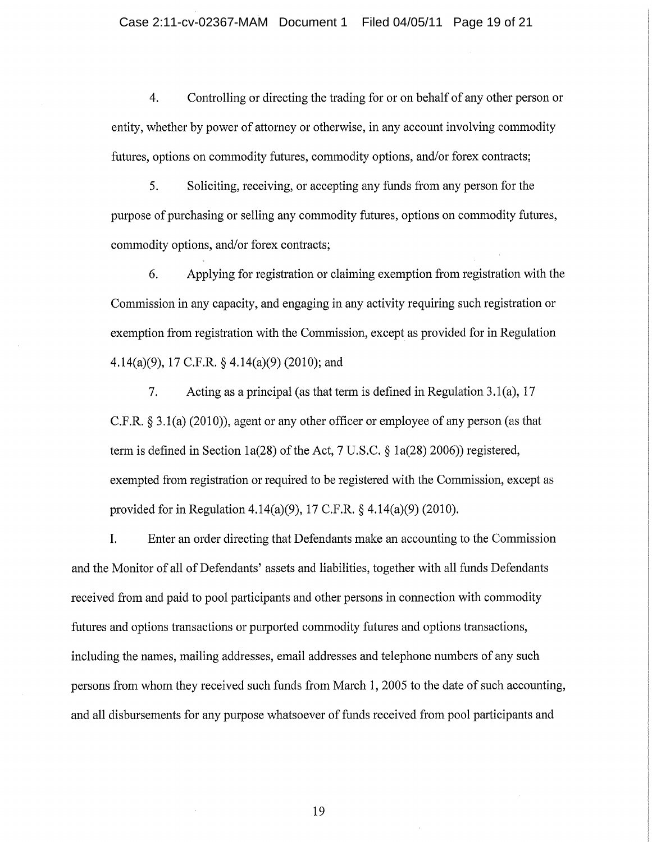$4.$ Controlling or directing the trading for or on behalf of any other person or entity, whether by power of attorney or otherwise, in any account involving commodity futures, options on commodity futures, commodity options, and/or forex contracts;

5. Soliciting, receiving, or accepting any funds from any person for the purpose of purchasing or selling any commodity futures, options on commodity futures, commodity options, and/or forex contracts;

Applying for registration or claiming exemption from registration with the 6. Commission in any capacity, and engaging in any activity requiring such registration or exemption from registration with the Commission, except as provided for in Regulation 4.14(a)(9), 17 C.F.R. § 4.14(a)(9) (2010); and

 $7.$ Acting as a principal (as that term is defined in Regulation 3.1(a), 17 C.F.R.  $\S$  3.1(a) (2010)), agent or any other officer or employee of any person (as that term is defined in Section 1a(28) of the Act,  $7 \text{ U.S.C.}$  § 1a(28) 2006)) registered, exempted from registration or required to be registered with the Commission, except as provided for in Regulation 4.14(a)(9), 17 C.F.R. § 4.14(a)(9) (2010).

I. Enter an order directing that Defendants make an accounting to the Commission and the Monitor of all of Defendants' assets and liabilities, together with all funds Defendants received from and paid to pool participants and other persons in connection with commodity futures and options transactions or purported commodity futures and options transactions, including the names, mailing addresses, email addresses and telephone numbers of any such persons from whom they received such funds from March 1, 2005 to the date of such accounting, and all disbursements for any purpose whatsoever of funds received from pool participants and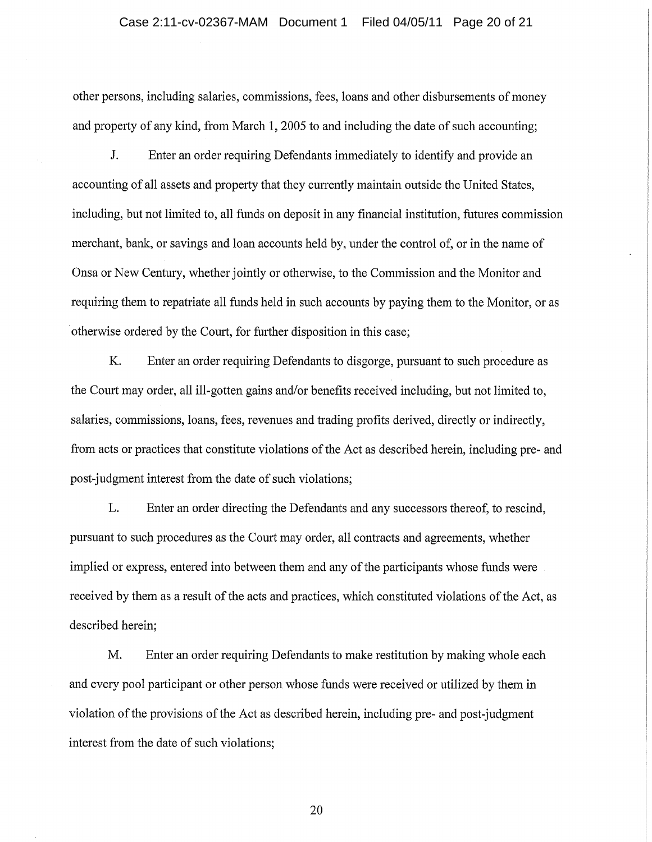### Case 2:11-cv-02367-MAM Document 1 Filed 04/05/11 Page 20 of 21

other persons, including salaries, commissions, fees, loans and other disbursements of money and property of any kind, from March 1, 2005 to and including the date of such accounting;

 $J<sub>r</sub>$ Enter an order requiring Defendants immediately to identify and provide an accounting of all assets and property that they currently maintain outside the United States, including, but not limited to, all funds on deposit in any financial institution, futures commission merchant, bank, or savings and loan accounts held by, under the control of, or in the name of Onsa or New Century, whether jointly or otherwise, to the Commission and the Monitor and requiring them to repatriate all funds held in such accounts by paying them to the Monitor, or as otherwise ordered by the Court, for further disposition in this case;

K. Enter an order requiring Defendants to disgorge, pursuant to such procedure as the Court may order, all ill-gotten gains and/or benefits received including, but not limited to, salaries, commissions, loans, fees, revenues and trading profits derived, directly or indirectly, from acts or practices that constitute violations of the Act as described herein, including pre- and post-judgment interest from the date of such violations;

L. Enter an order directing the Defendants and any successors thereof, to rescind, pursuant to such procedures as the Court may order, all contracts and agreements, whether implied or express, entered into between them and any of the participants whose funds were received by them as a result of the acts and practices, which constituted violations of the Act, as described herein;

M. Enter an order requiring Defendants to make restitution by making whole each and every pool participant or other person whose funds were received or utilized by them in violation of the provisions of the Act as described herein, including pre- and post-judgment interest from the date of such violations;